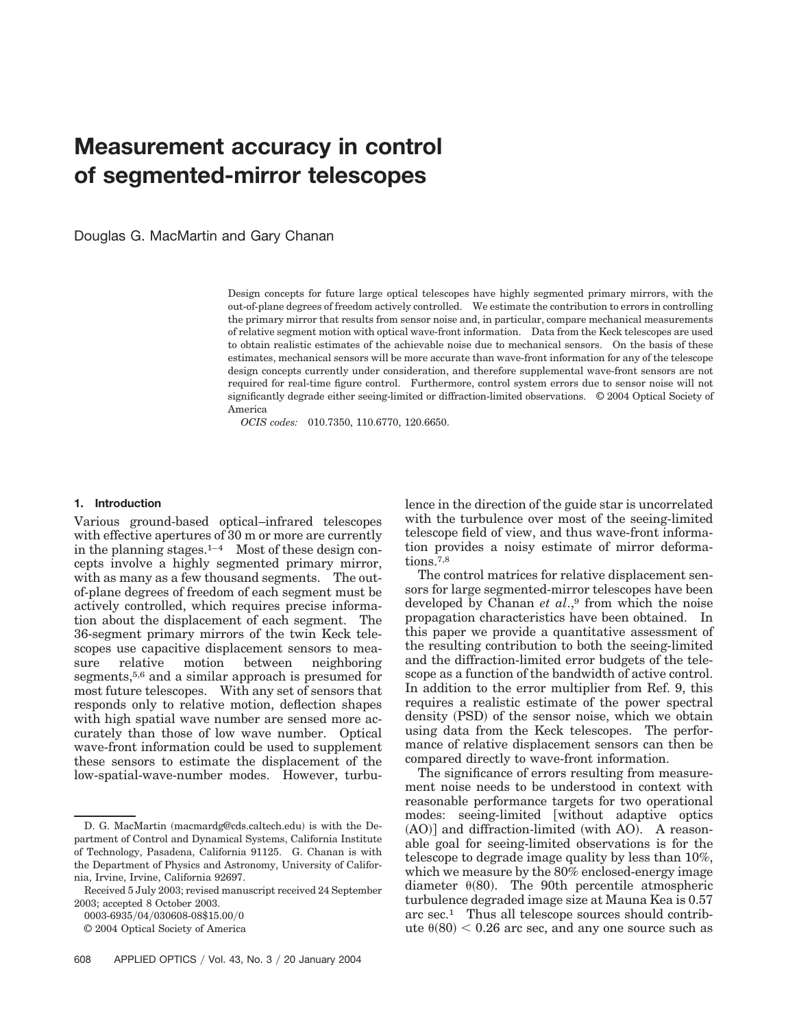# **Measurement accuracy in control of segmented-mirror telescopes**

Douglas G. MacMartin and Gary Chanan

Design concepts for future large optical telescopes have highly segmented primary mirrors, with the out-of-plane degrees of freedom actively controlled. We estimate the contribution to errors in controlling the primary mirror that results from sensor noise and, in particular, compare mechanical measurements of relative segment motion with optical wave-front information. Data from the Keck telescopes are used to obtain realistic estimates of the achievable noise due to mechanical sensors. On the basis of these estimates, mechanical sensors will be more accurate than wave-front information for any of the telescope design concepts currently under consideration, and therefore supplemental wave-front sensors are not required for real-time figure control. Furthermore, control system errors due to sensor noise will not significantly degrade either seeing-limited or diffraction-limited observations. © 2004 Optical Society of America

*OCIS codes:* 010.7350, 110.6770, 120.6650.

## **1. Introduction**

Various ground-based optical–infrared telescopes with effective apertures of 30 m or more are currently in the planning stages.<sup>1–4</sup> Most of these design concepts involve a highly segmented primary mirror, with as many as a few thousand segments. The outof-plane degrees of freedom of each segment must be actively controlled, which requires precise information about the displacement of each segment. The 36-segment primary mirrors of the twin Keck telescopes use capacitive displacement sensors to mea-<br>sure relative motion between neighboring sure relative motion between neighboring segments,<sup>5,6</sup> and a similar approach is presumed for most future telescopes. With any set of sensors that responds only to relative motion, deflection shapes with high spatial wave number are sensed more accurately than those of low wave number. Optical wave-front information could be used to supplement these sensors to estimate the displacement of the low-spatial-wave-number modes. However, turbu-

0003-6935/04/030608-08\$15.00/0

lence in the direction of the guide star is uncorrelated with the turbulence over most of the seeing-limited telescope field of view, and thus wave-front information provides a noisy estimate of mirror deformations.<sup>7,8</sup>

The control matrices for relative displacement sensors for large segmented-mirror telescopes have been developed by Chanan *et al*.,9 from which the noise propagation characteristics have been obtained. In this paper we provide a quantitative assessment of the resulting contribution to both the seeing-limited and the diffraction-limited error budgets of the telescope as a function of the bandwidth of active control. In addition to the error multiplier from Ref. 9, this requires a realistic estimate of the power spectral density (PSD) of the sensor noise, which we obtain using data from the Keck telescopes. The performance of relative displacement sensors can then be compared directly to wave-front information.

The significance of errors resulting from measurement noise needs to be understood in context with reasonable performance targets for two operational modes: seeing-limited [without adaptive optics  $(AO)$ ] and diffraction-limited (with  $AO$ ). A reasonable goal for seeing-limited observations is for the telescope to degrade image quality by less than 10%, which we measure by the 80% enclosed-energy image diameter  $\theta(80)$ . The 90th percentile atmospheric turbulence degraded image size at Mauna Kea is 0.57 arc sec.1 Thus all telescope sources should contribute  $\theta(80)$  < 0.26 arc sec, and any one source such as

D. G. MacMartin (macmardg@cds.caltech.edu) is with the Department of Control and Dynamical Systems, California Institute of Technology, Pasadena, California 91125. G. Chanan is with the Department of Physics and Astronomy, University of California, Irvine, Irvine, California 92697.

Received 5 July 2003; revised manuscript received 24 September 2003; accepted 8 October 2003.

<sup>© 2004</sup> Optical Society of America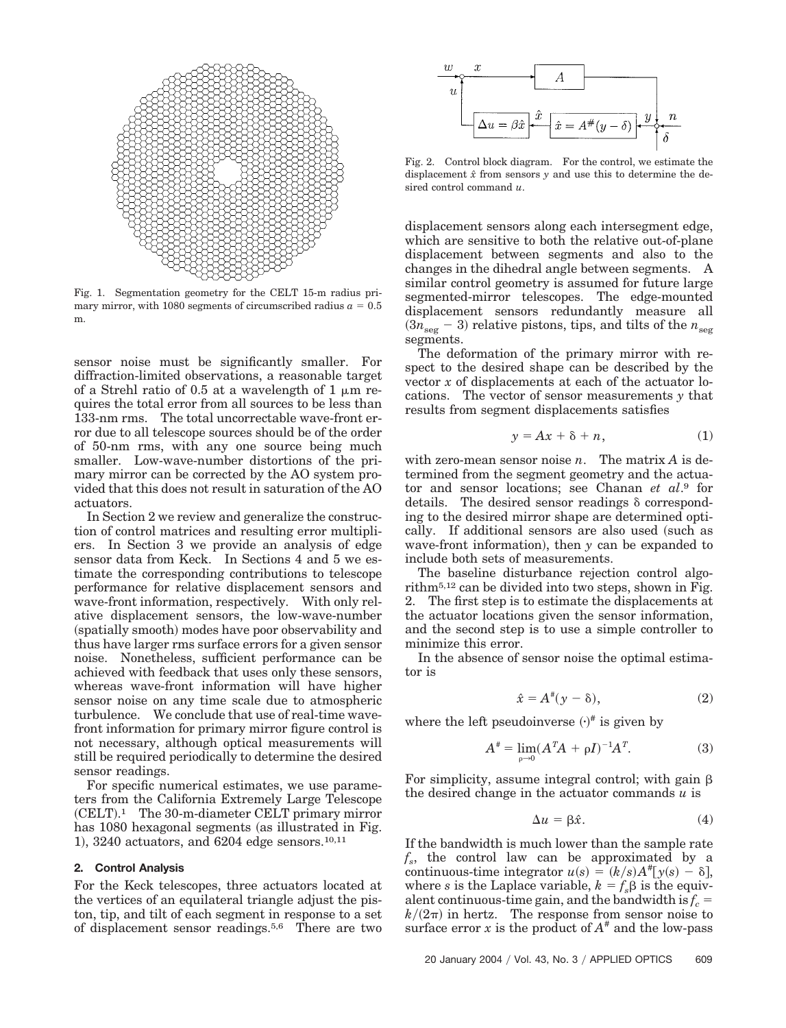

Fig. 1. Segmentation geometry for the CELT 15-m radius primary mirror, with 1080 segments of circumscribed radius  $a = 0.5$ m.

sensor noise must be significantly smaller. For diffraction-limited observations, a reasonable target of a Strehl ratio of 0.5 at a wavelength of 1  $\mu$ m requires the total error from all sources to be less than 133-nm rms. The total uncorrectable wave-front error due to all telescope sources should be of the order of 50-nm rms, with any one source being much smaller. Low-wave-number distortions of the primary mirror can be corrected by the AO system provided that this does not result in saturation of the AO actuators.

In Section 2 we review and generalize the construction of control matrices and resulting error multipliers. In Section 3 we provide an analysis of edge sensor data from Keck. In Sections 4 and 5 we estimate the corresponding contributions to telescope performance for relative displacement sensors and wave-front information, respectively. With only relative displacement sensors, the low-wave-number (spatially smooth) modes have poor observability and thus have larger rms surface errors for a given sensor noise. Nonetheless, sufficient performance can be achieved with feedback that uses only these sensors, whereas wave-front information will have higher sensor noise on any time scale due to atmospheric turbulence. We conclude that use of real-time wavefront information for primary mirror figure control is not necessary, although optical measurements will still be required periodically to determine the desired sensor readings.

For specific numerical estimates, we use parameters from the California Extremely Large Telescope (CELT).<sup>1</sup> The 30-m-diameter CELT primary mirror has 1080 hexagonal segments (as illustrated in Fig. 1), 3240 actuators, and 6204 edge sensors.<sup>10,11</sup>

# **2. Control Analysis**

For the Keck telescopes, three actuators located at the vertices of an equilateral triangle adjust the piston, tip, and tilt of each segment in response to a set of displacement sensor readings.5,6 There are two



Fig. 2. Control block diagram. For the control, we estimate the displacement *xˆ* from sensors *y* and use this to determine the desired control command *u*.

displacement sensors along each intersegment edge, which are sensitive to both the relative out-of-plane displacement between segments and also to the changes in the dihedral angle between segments. A similar control geometry is assumed for future large segmented-mirror telescopes. The edge-mounted displacement sensors redundantly measure all  $(3n_{\text{seg}} - 3)$  relative pistons, tips, and tilts of the  $n_{\text{seg}}$ segments.

The deformation of the primary mirror with respect to the desired shape can be described by the vector *x* of displacements at each of the actuator locations. The vector of sensor measurements *y* that results from segment displacements satisfies

$$
y = Ax + \delta + n, \tag{1}
$$

with zero-mean sensor noise *n*. The matrix *A* is determined from the segment geometry and the actuator and sensor locations; see Chanan *et al*.9 for details. The desired sensor readings  $\delta$  corresponding to the desired mirror shape are determined optically. If additional sensors are also used (such as wave-front information), then *y* can be expanded to include both sets of measurements.

The baseline disturbance rejection control algorithm5,12 can be divided into two steps, shown in Fig. 2. The first step is to estimate the displacements at the actuator locations given the sensor information, and the second step is to use a simple controller to minimize this error.

In the absence of sensor noise the optimal estimator is

$$
\hat{x} = A^{\#}(y - \delta),\tag{2}
$$

where the left pseudoinverse  $(\cdot)^{\#}$  is given by

$$
A^* = \lim_{\rho \to 0} (A^T A + \rho I)^{-1} A^T.
$$
 (3)

For simplicity, assume integral control; with gain  $\beta$ the desired change in the actuator commands *u* is

$$
\Delta u = \beta \hat{x}.\tag{4}
$$

If the bandwidth is much lower than the sample rate *fs*, the control law can be approximated by a continuous-time integrator  $u(s) = (k/s)A^*$ [ $y(s) - \delta$ ], where *s* is the Laplace variable,  $k = f_s \beta$  is the equivalent continuous-time gain, and the bandwidth is  $f_c$  =  $k/(2\pi)$  in hertz. The response from sensor noise to surface error *x* is the product of  $A^*$  and the low-pass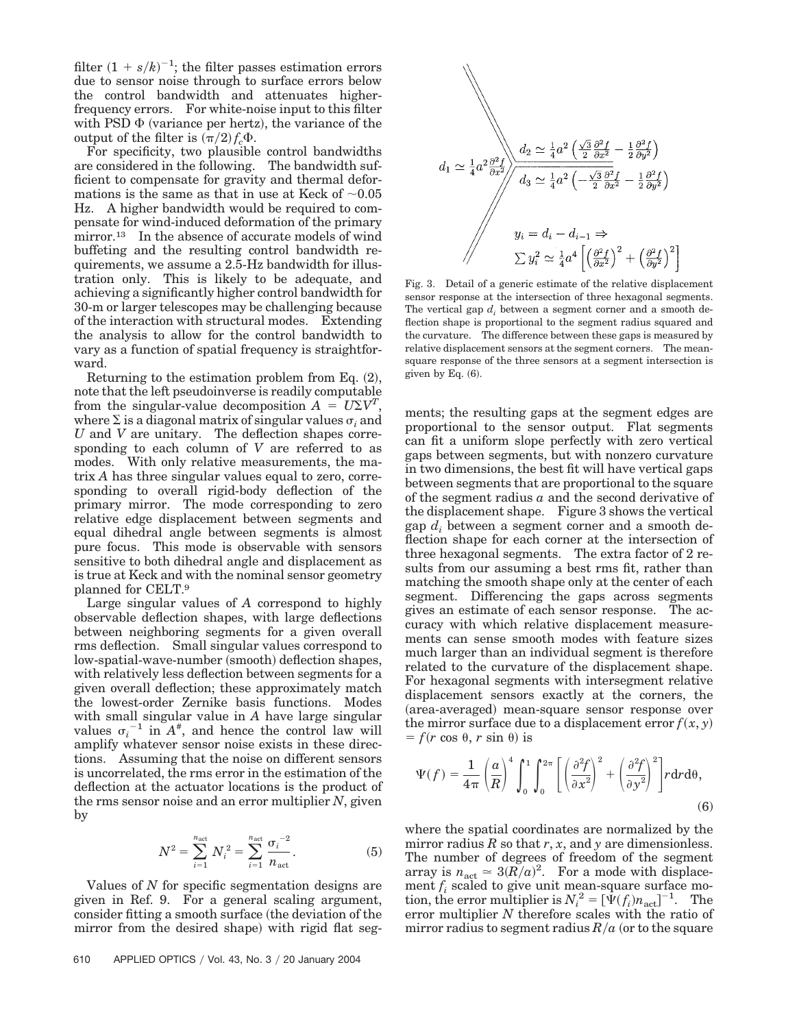filter  $(1 + s/k)^{-1}$ ; the filter passes estimation errors due to sensor noise through to surface errors below the control bandwidth and attenuates higherfrequency errors. For white-noise input to this filter with PSD  $\Phi$  (variance per hertz), the variance of the output of the filter is  $(\pi/2) f_c \Phi$ .

For specificity, two plausible control bandwidths are considered in the following. The bandwidth sufficient to compensate for gravity and thermal deformations is the same as that in use at Keck of  $\sim 0.05$ Hz. A higher bandwidth would be required to compensate for wind-induced deformation of the primary mirror.<sup>13</sup> In the absence of accurate models of wind buffeting and the resulting control bandwidth requirements, we assume a 2.5-Hz bandwidth for illustration only. This is likely to be adequate, and achieving a significantly higher control bandwidth for 30-m or larger telescopes may be challenging because of the interaction with structural modes. Extending the analysis to allow for the control bandwidth to vary as a function of spatial frequency is straightforward.

Returning to the estimation problem from Eq.  $(2)$ , note that the left pseudoinverse is readily computable from the singular-value decomposition  $A = U\Sigma V^T$ , where  $\Sigma$  is a diagonal matrix of singular values  $\sigma_i$  and *U* and *V* are unitary. The deflection shapes corresponding to each column of *V* are referred to as modes. With only relative measurements, the matrix *A* has three singular values equal to zero, corresponding to overall rigid-body deflection of the primary mirror. The mode corresponding to zero relative edge displacement between segments and equal dihedral angle between segments is almost pure focus. This mode is observable with sensors sensitive to both dihedral angle and displacement as is true at Keck and with the nominal sensor geometry planned for CELT.9

Large singular values of *A* correspond to highly observable deflection shapes, with large deflections between neighboring segments for a given overall rms deflection. Small singular values correspond to low-spatial-wave-number (smooth) deflection shapes, with relatively less deflection between segments for a given overall deflection; these approximately match the lowest-order Zernike basis functions. Modes with small singular value in *A* have large singular values  $\sigma_i^{-1}$  in  $A^*$ , and hence the control law will amplify whatever sensor noise exists in these directions. Assuming that the noise on different sensors is uncorrelated, the rms error in the estimation of the deflection at the actuator locations is the product of the rms sensor noise and an error multiplier *N*, given by

$$
N^{2} = \sum_{i=1}^{n_{\text{act}}} N_{i}^{2} = \sum_{i=1}^{n_{\text{act}}} \frac{{\sigma_{i}}^{-2}}{n_{\text{act}}}.
$$
 (5)

Values of *N* for specific segmentation designs are given in Ref. 9. For a general scaling argument, consider fitting a smooth surface (the deviation of the mirror from the desired shape) with rigid flat seg-



Fig. 3. Detail of a generic estimate of the relative displacement sensor response at the intersection of three hexagonal segments. The vertical gap *d<sub>i</sub>* between a segment corner and a smooth deflection shape is proportional to the segment radius squared and the curvature. The difference between these gaps is measured by relative displacement sensors at the segment corners. The meansquare response of the three sensors at a segment intersection is given by Eq.  $(6)$ .

ments; the resulting gaps at the segment edges are proportional to the sensor output. Flat segments can fit a uniform slope perfectly with zero vertical gaps between segments, but with nonzero curvature in two dimensions, the best fit will have vertical gaps between segments that are proportional to the square of the segment radius *a* and the second derivative of the displacement shape. Figure 3 shows the vertical gap  $d_i$  between a segment corner and a smooth deflection shape for each corner at the intersection of three hexagonal segments. The extra factor of 2 results from our assuming a best rms fit, rather than matching the smooth shape only at the center of each segment. Differencing the gaps across segments gives an estimate of each sensor response. The accuracy with which relative displacement measurements can sense smooth modes with feature sizes much larger than an individual segment is therefore related to the curvature of the displacement shape. For hexagonal segments with intersegment relative displacement sensors exactly at the corners, the (area-averaged) mean-square sensor response over the mirror surface due to a displacement error  $f(x, y)$  $f(r \cos \theta, r \sin \theta)$  is

$$
\Psi(f) = \frac{1}{4\pi} \left(\frac{a}{R}\right)^4 \int_0^1 \int_0^{2\pi} \left[\left(\frac{\partial^2 f}{\partial x^2}\right)^2 + \left(\frac{\partial^2 f}{\partial y^2}\right)^2\right] r dr d\theta,
$$
\n(6)

where the spatial coordinates are normalized by the mirror radius  $R$  so that  $r$ ,  $x$ , and  $y$  are dimensionless. The number of degrees of freedom of the segment array is  $n_{\text{act}} \simeq 3(R/a)^2$ . For a mode with displacement *fi* scaled to give unit mean-square surface motion, the error multiplier is  $N_i^2 = [\dot{\Psi}(f_i) n_{\text{act}}]^{-1}$ . The error multiplier *N* therefore scales with the ratio of mirror radius to segment radius  $R/a$  (or to the square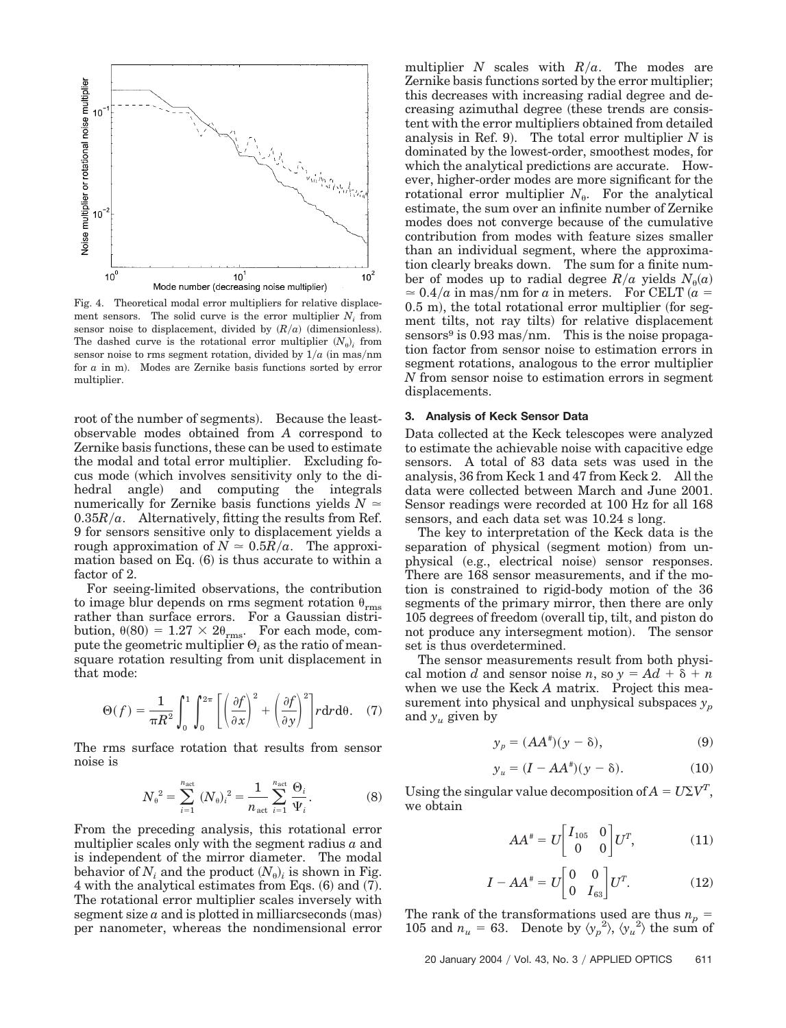

Fig. 4. Theoretical modal error multipliers for relative displacement sensors. The solid curve is the error multiplier *Ni* from sensor noise to displacement, divided by  $(R/a)$  (dimensionless). The dashed curve is the rotational error multiplier  $(N_{\theta})$  from sensor noise to rms segment rotation, divided by  $1/a$  (in mas/nm) for  $a$  in m). Modes are Zernike basis functions sorted by error multiplier.

root of the number of segments). Because the leastobservable modes obtained from *A* correspond to Zernike basis functions, these can be used to estimate the modal and total error multiplier. Excluding focus mode which involves sensitivity only to the dihedral angle) and computing the integrals numerically for Zernike basis functions yields  $N \approx$  $0.35R/a$ . Alternatively, fitting the results from Ref. 9 for sensors sensitive only to displacement yields a rough approximation of  $N \approx 0.5R/a$ . The approximation based on Eq. (6) is thus accurate to within a factor of 2.

For seeing-limited observations, the contribution to image blur depends on rms segment rotation  $\theta_{\rm rms}$ rather than surface errors. For a Gaussian distribution,  $\theta(80) = 1.27 \times 2\theta_{\text{rms}}$ . For each mode, compute the geometric multiplier  $\Theta_i$  as the ratio of meansquare rotation resulting from unit displacement in that mode:

$$
\Theta(f) = \frac{1}{\pi R^2} \int_0^1 \int_0^{2\pi} \left[ \left( \frac{\partial f}{\partial x} \right)^2 + \left( \frac{\partial f}{\partial y} \right)^2 \right] r \, dr \, d\theta. \quad (7)
$$

The rms surface rotation that results from sensor noise is

$$
N_{\theta}^{2} = \sum_{i=1}^{n_{\text{act}}} (N_{\theta})_{i}^{2} = \frac{1}{n_{\text{act}}} \sum_{i=1}^{n_{\text{act}}} \frac{\Theta_{i}}{\Psi_{i}}.
$$
 (8)

From the preceding analysis, this rotational error multiplier scales only with the segment radius *a* and is independent of the mirror diameter. The modal behavior of  $N_i$  and the product  $(N_0)_i$  is shown in Fig.  $4$  with the analytical estimates from Eqs.  $(6)$  and  $(7)$ . The rotational error multiplier scales inversely with segment size  $a$  and is plotted in milliarcseconds (mas) per nanometer, whereas the nondimensional error multiplier *N* scales with  $R/a$ . The modes are Zernike basis functions sorted by the error multiplier; this decreases with increasing radial degree and decreasing azimuthal degree (these trends are consistent with the error multipliers obtained from detailed analysis in Ref. 9). The total error multiplier  $N$  is dominated by the lowest-order, smoothest modes, for which the analytical predictions are accurate. However, higher-order modes are more significant for the rotational error multiplier  $N_{\theta}$ . For the analytical estimate, the sum over an infinite number of Zernike modes does not converge because of the cumulative contribution from modes with feature sizes smaller than an individual segment, where the approximation clearly breaks down. The sum for a finite number of modes up to radial degree  $R/a$  yields  $N_{\theta}(a)$  $\approx 0.4/a$  in mas/nm for *a* in meters. For CELT  $(a =$  $(0.5 \, \text{m})$ , the total rotational error multiplier (for segment tilts, not ray tilts) for relative displacement sensors<sup>9</sup> is 0.93 mas/nm. This is the noise propagation factor from sensor noise to estimation errors in segment rotations, analogous to the error multiplier *N* from sensor noise to estimation errors in segment displacements.

# **3. Analysis of Keck Sensor Data**

Data collected at the Keck telescopes were analyzed to estimate the achievable noise with capacitive edge sensors. A total of 83 data sets was used in the analysis, 36 from Keck 1 and 47 from Keck 2. All the data were collected between March and June 2001. Sensor readings were recorded at 100 Hz for all 168 sensors, and each data set was 10.24 s long.

The key to interpretation of the Keck data is the separation of physical (segment motion) from unphysical (e.g., electrical noise) sensor responses. There are 168 sensor measurements, and if the motion is constrained to rigid-body motion of the 36 segments of the primary mirror, then there are only 105 degrees of freedom overall tip, tilt, and piston do not produce any intersegment motion). The sensor set is thus overdetermined.

The sensor measurements result from both physical motion *d* and sensor noise *n*, so  $y = Ad + \delta + n$ when we use the Keck *A* matrix. Project this measurement into physical and unphysical subspaces  $y_p$ and  $y_u$  given by

$$
y_p = (AA^{\#})(y - \delta), \tag{9}
$$

$$
y_u = (I - AA^{\#})(y - \delta). \tag{10}
$$

Using the singular value decomposition of  $A = U\Sigma V^T$ , we obtain

$$
AA^* = U \begin{bmatrix} I_{105} & 0 \\ 0 & 0 \end{bmatrix} U^T, \tag{11}
$$

$$
I - AA^* = U \begin{bmatrix} 0 & 0 \\ 0 & I_{63} \end{bmatrix} U^T.
$$
 (12)

The rank of the transformations used are thus  $n_p =$ 105 and  $n_u = 63$ . Denote by  $\langle y_p^2 \rangle$ ,  $\langle y_u^2 \rangle$  the sum of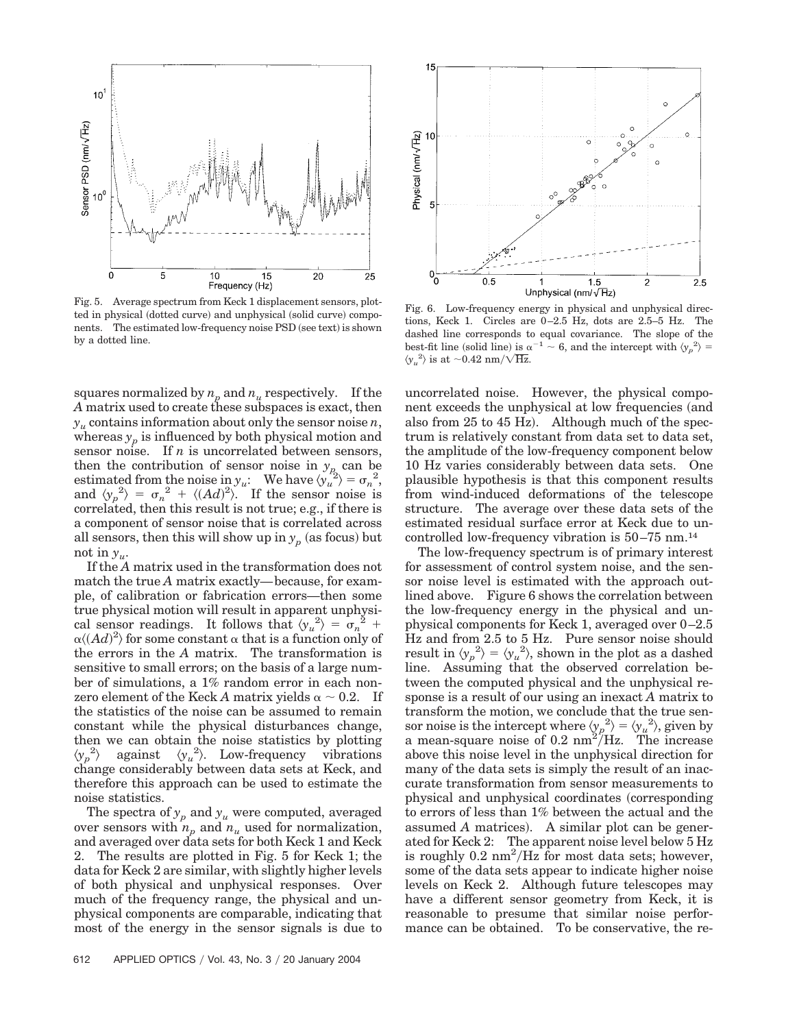

Fig. 5. Average spectrum from Keck 1 displacement sensors, plotted in physical (dotted curve) and unphysical (solid curve) components. The estimated low-frequency noise PSD (see text) is shown by a dotted line.

squares normalized by  $n_p$  and  $n_u$  respectively. If the *A* matrix used to create these subspaces is exact, then  $y_u$  contains information about only the sensor noise *n*, whereas  $y_p$  is influenced by both physical motion and sensor noise. If *n* is uncorrelated between sensors, then the contribution of sensor noise in  $y_p$  can be estimated from the noise in  $y_u$ : We have  $\langle y_u^{\nu_2} \rangle = \sigma_n^2$ , and  $\langle y_p^2 \rangle = \sigma_n^2 + \langle (Ad)^2 \rangle$ . If the sensor noise is correlated, then this result is not true; e.g., if there is a component of sensor noise that is correlated across all sensors, then this will show up in  $y_p$  (as focus) but not in  $y_{\mu}$ .

If the *A* matrix used in the transformation does not match the true *A* matrix exactly—because, for example, of calibration or fabrication errors—then some true physical motion will result in apparent unphysical sensor readings. It follows that  $\langle y_u^2 \rangle = \sigma_n^2$  +  $\alpha \langle (Ad)^2 \rangle$  for some constant  $\alpha$  that is a function only of the errors in the *A* matrix. The transformation is sensitive to small errors; on the basis of a large number of simulations, a 1% random error in each nonzero element of the Keck *A* matrix yields  $\alpha \sim 0.2$ . If the statistics of the noise can be assumed to remain constant while the physical disturbances change, then we can obtain the noise statistics by plotting  $\langle y_p^2 \rangle$  against  $\langle y_u^2 \rangle$ . Low-frequency vibrations change considerably between data sets at Keck, and therefore this approach can be used to estimate the noise statistics.

The spectra of  $y_p$  and  $y_u$  were computed, averaged over sensors with  $n_p$  and  $n_u$  used for normalization, and averaged over data sets for both Keck 1 and Keck 2. The results are plotted in Fig. 5 for Keck 1; the data for Keck 2 are similar, with slightly higher levels of both physical and unphysical responses. Over much of the frequency range, the physical and unphysical components are comparable, indicating that most of the energy in the sensor signals is due to



Fig. 6. Low-frequency energy in physical and unphysical directions, Keck 1. Circles are 0–2.5 Hz, dots are 2.5–5 Hz. The dashed line corresponds to equal covariance. The slope of the best-fit line (solid line) is  $\alpha^{-1} \sim 6$ , and the intercept with  $\langle y_p^2 \rangle =$  $\langle y_u^2 \rangle$  is at  $\sim$  0.42 nm/ $\sqrt{\text{Hz}}$ .

uncorrelated noise. However, the physical component exceeds the unphysical at low frequencies (and also from  $25$  to  $45$  Hz). Although much of the spectrum is relatively constant from data set to data set, the amplitude of the low-frequency component below 10 Hz varies considerably between data sets. One plausible hypothesis is that this component results from wind-induced deformations of the telescope structure. The average over these data sets of the estimated residual surface error at Keck due to uncontrolled low-frequency vibration is 50–75 nm.14

The low-frequency spectrum is of primary interest for assessment of control system noise, and the sensor noise level is estimated with the approach outlined above. Figure 6 shows the correlation between the low-frequency energy in the physical and unphysical components for Keck 1, averaged over 0–2.5 Hz and from 2.5 to 5 Hz. Pure sensor noise should result in  $\langle y_p^2 \rangle = \langle y_u^2 \rangle$ , shown in the plot as a dashed line. Assuming that the observed correlation between the computed physical and the unphysical response is a result of our using an inexact *A* matrix to transform the motion, we conclude that the true sensor noise is the intercept where  $\langle y_p^2 \rangle = \langle y_u^2 \rangle$ , given by a mean-square noise of  $0.2 \text{ nm}^2/\text{Hz}$ . The increase above this noise level in the unphysical direction for many of the data sets is simply the result of an inaccurate transformation from sensor measurements to physical and unphysical coordinates (corresponding to errors of less than 1% between the actual and the assumed *A* matrices). A similar plot can be generated for Keck 2: The apparent noise level below 5 Hz is roughly  $0.2 \text{ nm}^2/\text{Hz}$  for most data sets; however, some of the data sets appear to indicate higher noise levels on Keck 2. Although future telescopes may have a different sensor geometry from Keck, it is reasonable to presume that similar noise performance can be obtained. To be conservative, the re-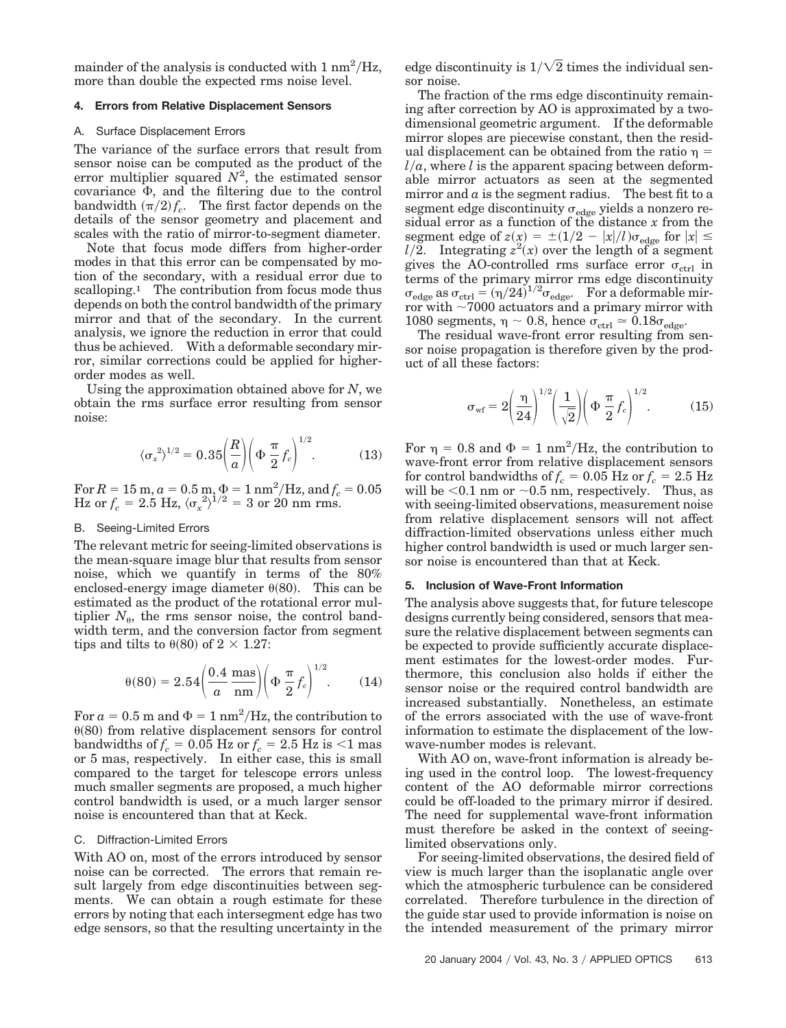mainder of the analysis is conducted with  $1 \text{ nm}^2/\text{Hz}$ , more than double the expected rms noise level.

# **4. Errors from Relative Displacement Sensors**

#### A. Surface Displacement Errors

The variance of the surface errors that result from sensor noise can be computed as the product of the error multiplier squared  $N^2$ , the estimated sensor covariance  $\Phi$ , and the filtering due to the control bandwidth  $(\pi/2) f_c$ . The first factor depends on the details of the sensor geometry and placement and scales with the ratio of mirror-to-segment diameter.

Note that focus mode differs from higher-order modes in that this error can be compensated by motion of the secondary, with a residual error due to scalloping.<sup>1</sup> The contribution from focus mode thus depends on both the control bandwidth of the primary mirror and that of the secondary. In the current analysis, we ignore the reduction in error that could thus be achieved. With a deformable secondary mirror, similar corrections could be applied for higherorder modes as well.

Using the approximation obtained above for *N*, we obtain the rms surface error resulting from sensor noise:

$$
\langle \sigma_x^2 \rangle^{1/2} = 0.35 \left( \frac{R}{a} \right) \left( \Phi \frac{\pi}{2} f_c \right)^{1/2} . \tag{13}
$$

For  $R = 15$  m,  $a = 0.5$  m,  $\Phi = 1$  nm<sup>2</sup>/Hz, and  $f_c = 0.05$ Hz or  $f_c = 2.5$  Hz,  $\langle \sigma_x^2 \rangle^{1/2} = 3$  or 20 nm rms.

# B. Seeing-Limited Errors

The relevant metric for seeing-limited observations is the mean-square image blur that results from sensor noise, which we quantify in terms of the 80% enclosed-energy image diameter  $\theta(80)$ . This can be estimated as the product of the rotational error multiplier  $N_{\theta}$ , the rms sensor noise, the control bandwidth term, and the conversion factor from segment tips and tilts to  $\theta(80)$  of  $2 \times 1.27$ :

$$
\theta(80) = 2.54 \left( \frac{0.4}{a} \frac{\text{mas}}{\text{nm}} \right) \left( \Phi \frac{\pi}{2} f_c \right)^{1/2}.
$$
 (14)

For  $a = 0.5$  m and  $\Phi = 1$  nm<sup>2</sup>/Hz, the contribution to  $\theta(80)$  from relative displacement sensors for control bandwidths of  $f_c = 0.05$  Hz or  $f_c = 2.5$  Hz is  $\leq 1$  mas or 5 mas, respectively. In either case, this is small compared to the target for telescope errors unless much smaller segments are proposed, a much higher control bandwidth is used, or a much larger sensor noise is encountered than that at Keck.

#### C. Diffraction-Limited Errors

With AO on, most of the errors introduced by sensor noise can be corrected. The errors that remain result largely from edge discontinuities between segments. We can obtain a rough estimate for these errors by noting that each intersegment edge has two edge sensors, so that the resulting uncertainty in the edge discontinuity is  $1/\sqrt{2}$  times the individual sensor noise.

The fraction of the rms edge discontinuity remaining after correction by AO is approximated by a twodimensional geometric argument. If the deformable mirror slopes are piecewise constant, then the residual displacement can be obtained from the ratio  $\eta =$  $l/a$ , where *l* is the apparent spacing between deformable mirror actuators as seen at the segmented mirror and  $a$  is the segment radius. The best fit to a segment edge discontinuity  $\sigma_{\text{edge}}$  yields a nonzero residual error as a function of the distance *x* from the segment edge of  $z(x) = \pm (1/2 - |x|/l)\sigma_{\text{edge}}$  for  $|x| \le$  $l/2$ . Integrating  $z^2(x)$  over the length of a segment gives the AO-controlled rms surface error  $\sigma_{\text{ctrl}}$  in terms of the primary mirror rms edge discontinuity  $\sigma_{\text{edge}}$  as  $\sigma_{\text{ctrl}} = (\eta/24)^{1/2} \sigma_{\text{edge}}$ . For a deformable mirror with  $\sim$  7000 actuators and a primary mirror with 1080 segments,  $\eta \sim 0.8$ , hence  $\sigma_{\text{ctrl}} \simeq 0.18 \sigma_{\text{edge}}$ .

The residual wave-front error resulting from sensor noise propagation is therefore given by the product of all these factors:

$$
\sigma_{\rm wf} = 2\left(\frac{\eta}{24}\right)^{1/2} \left(\frac{1}{\sqrt{2}}\right) \left(\Phi \frac{\pi}{2} f_c\right)^{1/2}.
$$
 (15)

For  $\eta = 0.8$  and  $\Phi = 1$  nm<sup>2</sup>/Hz, the contribution to wave-front error from relative displacement sensors  $\text{for control bandwidths of} f_c = 0.05 \text{ Hz or} f_c = 2.5 \text{ Hz}$ will be  $<$ 0.1 nm or  $\sim$ 0.5 nm, respectively. Thus, as with seeing-limited observations, measurement noise from relative displacement sensors will not affect diffraction-limited observations unless either much higher control bandwidth is used or much larger sensor noise is encountered than that at Keck.

# **5. Inclusion of Wave-Front Information**

The analysis above suggests that, for future telescope designs currently being considered, sensors that measure the relative displacement between segments can be expected to provide sufficiently accurate displacement estimates for the lowest-order modes. Furthermore, this conclusion also holds if either the sensor noise or the required control bandwidth are increased substantially. Nonetheless, an estimate of the errors associated with the use of wave-front information to estimate the displacement of the lowwave-number modes is relevant.

With AO on, wave-front information is already being used in the control loop. The lowest-frequency content of the AO deformable mirror corrections could be off-loaded to the primary mirror if desired. The need for supplemental wave-front information must therefore be asked in the context of seeinglimited observations only.

For seeing-limited observations, the desired field of view is much larger than the isoplanatic angle over which the atmospheric turbulence can be considered correlated. Therefore turbulence in the direction of the guide star used to provide information is noise on the intended measurement of the primary mirror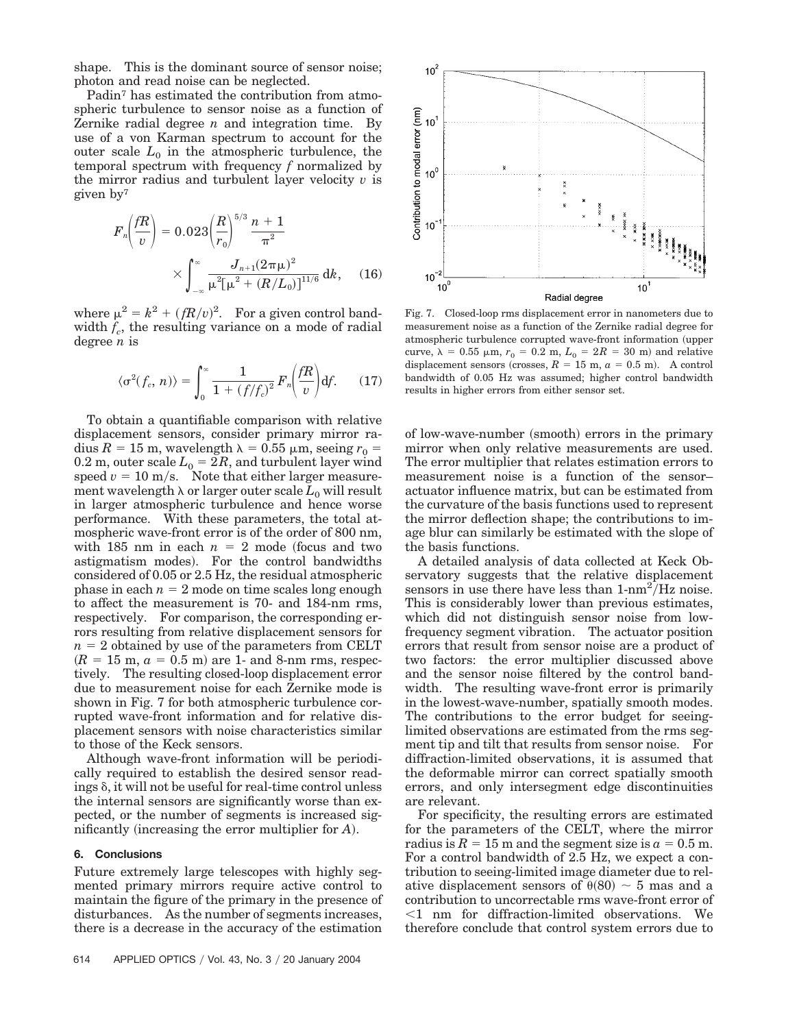shape. This is the dominant source of sensor noise; photon and read noise can be neglected.

Padin7 has estimated the contribution from atmospheric turbulence to sensor noise as a function of Zernike radial degree *n* and integration time. By use of a von Karman spectrum to account for the outer scale  $L_0$  in the atmospheric turbulence, the temporal spectrum with frequency *f* normalized by the mirror radius and turbulent layer velocity *v* is given by7

$$
F_n\left(\frac{fR}{v}\right) = 0.023 \left(\frac{R}{r_0}\right)^{5/3} \frac{n+1}{\pi^2} \times \int_{-\infty}^{\infty} \frac{J_{n+1}(2\pi\mu)^2}{\mu^2[\mu^2 + (R/L_0)]^{11/6}} dk, \quad (16)
$$

where  $\mu^2 = k^2 + (fR/v)^2$ . For a given control bandwidth  $f_c$ , the resulting variance on a mode of radial degree *n* is

$$
\langle \sigma^2(f_c, n) \rangle = \int_0^\infty \frac{1}{1 + (f/f_c)^2} F_n \left( \frac{fR}{v} \right) df. \tag{17}
$$

To obtain a quantifiable comparison with relative displacement sensors, consider primary mirror radius  $R = 15$  m, wavelength  $\lambda = 0.55$   $\mu$ m, seeing  $r_0$  = 0.2 m, outer scale  $L_0 = 2R$ , and turbulent layer wind speed  $v = 10$  m/s. Note that either larger measurement wavelength  $\lambda$  or larger outer scale  $L_0$  will result in larger atmospheric turbulence and hence worse performance. With these parameters, the total atmospheric wave-front error is of the order of 800 nm, with 185 nm in each  $n = 2$  mode (focus and two astigmatism modes). For the control bandwidths considered of 0.05 or 2.5 Hz, the residual atmospheric phase in each  $n = 2$  mode on time scales long enough to affect the measurement is 70- and 184-nm rms, respectively. For comparison, the corresponding errors resulting from relative displacement sensors for  $n = 2$  obtained by use of the parameters from CELT  $(R = 15 \text{ m}, a = 0.5 \text{ m})$  are 1- and 8-nm rms, respectively. The resulting closed-loop displacement error due to measurement noise for each Zernike mode is shown in Fig. 7 for both atmospheric turbulence corrupted wave-front information and for relative displacement sensors with noise characteristics similar to those of the Keck sensors.

Although wave-front information will be periodically required to establish the desired sensor readings  $\delta$ , it will not be useful for real-time control unless the internal sensors are significantly worse than expected, or the number of segments is increased significantly (increasing the error multiplier for A).

# **6. Conclusions**

Future extremely large telescopes with highly segmented primary mirrors require active control to maintain the figure of the primary in the presence of disturbances. As the number of segments increases, there is a decrease in the accuracy of the estimation



Fig. 7. Closed-loop rms displacement error in nanometers due to measurement noise as a function of the Zernike radial degree for atmospheric turbulence corrupted wave-front information (upper curve,  $\lambda = 0.55$   $\mu$ m,  $r_0 = 0.2$  m,  $L_0 = 2R = 30$  m) and relative displacement sensors (crosses,  $R = 15$  m,  $a = 0.5$  m). A control bandwidth of 0.05 Hz was assumed; higher control bandwidth results in higher errors from either sensor set.

of low-wave-number (smooth) errors in the primary mirror when only relative measurements are used. The error multiplier that relates estimation errors to measurement noise is a function of the sensor– actuator influence matrix, but can be estimated from the curvature of the basis functions used to represent the mirror deflection shape; the contributions to image blur can similarly be estimated with the slope of the basis functions.

A detailed analysis of data collected at Keck Observatory suggests that the relative displacement sensors in use there have less than  $1-nm^2/Hz$  noise. This is considerably lower than previous estimates, which did not distinguish sensor noise from lowfrequency segment vibration. The actuator position errors that result from sensor noise are a product of two factors: the error multiplier discussed above and the sensor noise filtered by the control bandwidth. The resulting wave-front error is primarily in the lowest-wave-number, spatially smooth modes. The contributions to the error budget for seeinglimited observations are estimated from the rms segment tip and tilt that results from sensor noise. For diffraction-limited observations, it is assumed that the deformable mirror can correct spatially smooth errors, and only intersegment edge discontinuities are relevant.

For specificity, the resulting errors are estimated for the parameters of the CELT, where the mirror radius is  $R = 15$  m and the segment size is  $a = 0.5$  m. For a control bandwidth of 2.5 Hz, we expect a contribution to seeing-limited image diameter due to relative displacement sensors of  $\theta(80) \sim 5$  mas and a contribution to uncorrectable rms wave-front error of 1 nm for diffraction-limited observations. We therefore conclude that control system errors due to